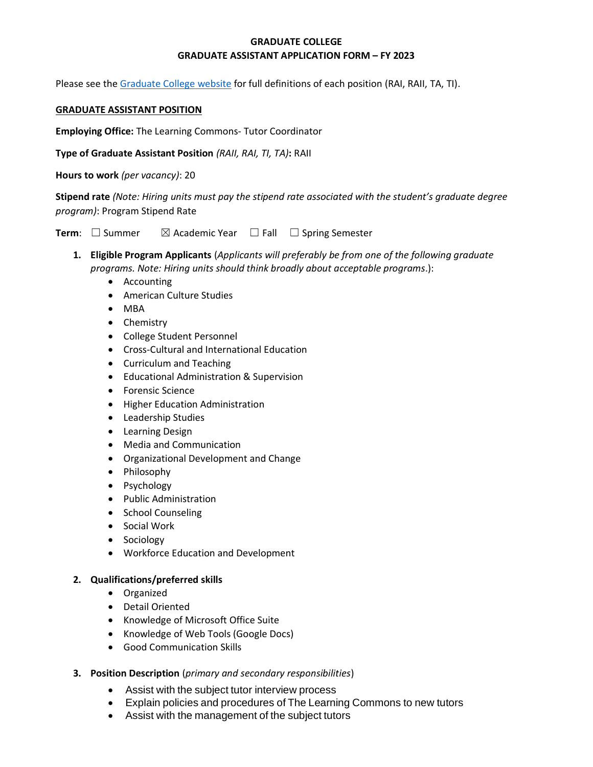## **GRADUATE COLLEGE GRADUATE ASSISTANT APPLICATION FORM – FY 2023**

Please see the [Graduate College website](https://www.bgsu.edu/content/dam/BGSU/graduate-college/GADocs/Grad-Col-GA-Position-Descriptions-21-22.pdf) for full definitions of each position (RAI, RAII, TA, TI).

## **GRADUATE ASSISTANT POSITION**

**Employing Office:** The Learning Commons- Tutor Coordinator

**Type of Graduate Assistant Position** *(RAII, RAI, TI, TA)***:** RAII

**Hours to work** *(per vacancy)*: 20

**Stipend rate** *(Note: Hiring units must pay the stipend rate associated with the student's graduate degree program)*: Program Stipend Rate

**Term**: □ Summer  $\boxtimes$  Academic Year □ Fall □ Spring Semester

- **1. Eligible Program Applicants** (*Applicants will preferably be from one of the following graduate programs. Note: Hiring units should think broadly about acceptable programs*.):
	- Accounting
	- American Culture Studies
	- MBA
	- Chemistry
	- College Student Personnel
	- Cross-Cultural and International Education
	- Curriculum and Teaching
	- Educational Administration & Supervision
	- Forensic Science
	- Higher Education Administration
	- Leadership Studies
	- Learning Design
	- Media and Communication
	- Organizational Development and Change
	- Philosophy
	- Psychology
	- Public Administration
	- School Counseling
	- Social Work
	- Sociology
	- Workforce Education and Development

## **2. Qualifications/preferred skills**

- Organized
- Detail Oriented
- Knowledge of Microsoft Office Suite
- Knowledge of Web Tools (Google Docs)
- Good Communication Skills
- **3. Position Description** (*primary and secondary responsibilities*)
	- Assist with the subject tutor interview process
	- Explain policies and procedures of The Learning Commons to new tutors
	- Assist with the management of the subject tutors